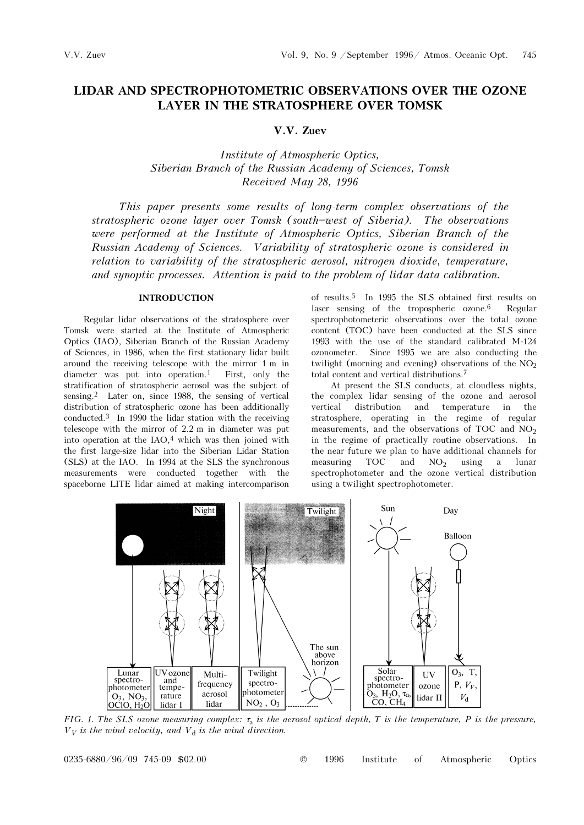# LIDAR AND SPECTROPHOTOMETRIC OBSERVATIONS OVER THE OZONE LAYER IN THE STRATOSPHERE OVER TOMSK

# V.V. Zuev

Institute of Atmospheric Optics, Siberian Branch of the Russian Academy of Sciences, Tomsk Received May 28, 1996

This paper presents some results of long-term complex observations of the stratospheric ozone layer over Tomsk (south-west of Siberia). The observations were performed at the Institute of Atmospheric Optics, Siberian Branch of the Russian Academy of Sciences. Variability of stratospheric ozone is considered in relation to variability of the stratospheric aerosol, nitrogen dioxide, temperature, and synoptic processes. Attention is paid to the problem of lidar data calibration.

# INTRODUCTION

Regular lidar observations of the stratosphere over Tomsk were started at the Institute of Atmospheric Optics (IAO), Siberian Branch of the Russian Academy of Sciences, in 1986, when the first stationary lidar built around the receiving telescope with the mirror 1 m in diameter was put into operation.<sup>1</sup> First, only the stratification of stratospheric aerosol was the subject of sensing.2 Later on, since 1988, the sensing of vertical distribution of stratospheric ozone has been additionally conducted.<sup>3</sup> In 1990 the lidar station with the receiving telescope with the mirror of 2.2 m in diameter was put into operation at the  $IAO<sub>i</sub><sup>4</sup>$  which was then joined with the first large-size lidar into the Siberian Lidar Station (SLS) at the IAO. In 1994 at the SLS the synchronous measurements were conducted together with the spaceborne LITE lidar aimed at making intercomparison

of results.5 In 1995 the SLS obtained first results on laser sensing of the tropospheric ozone.<sup>6</sup> Regular spectrophotometeric observations over the total ozone content (TOC) have been conducted at the SLS since 1993 with the use of the standard calibrated M-124 ozonometer. Since 1995 we are also conducting the twilight (morning and evening) observations of the  $NO<sub>2</sub>$ total content and vertical distributions.<sup>7</sup>

At present the SLS conducts, at cloudless nights, the complex lidar sensing of the ozone and aerosol vertical distribution and temperature in the stratosphere, operating in the regime of regular measurements, and the observations of TOC and  $NO<sub>2</sub>$ in the regime of practically routine observations. In the near future we plan to have additional channels for measuring  $TOC$  and  $NO<sub>2</sub>$  using a lunar spectrophotometer and the ozone vertical distribution using a twilight spectrophotometer.



FIG. 1. The SLS ozone measuring complex:  $\tau_a$  is the aerosol optical depth, T is the temperature, P is the pressure,  $V_V$  is the wind velocity, and  $V_d$  is the wind direction.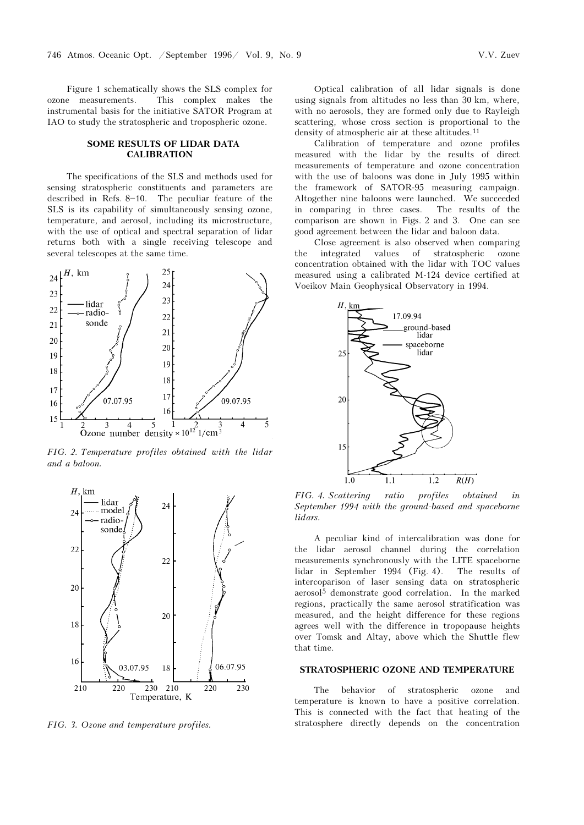Figure 1 schematically shows the SLS complex for ozone measurements. This complex makes the instrumental basis for the initiative SATOR Program at IAO to study the stratospheric and tropospheric ozone.

## SOME RESULTS OF LIDAR DATA **CALIBRATION**

The specifications of the SLS and methods used for sensing stratospheric constituents and parameters are described in Refs.  $8-10$ . The peculiar feature of the SLS is its capability of simultaneously sensing ozone, temperature, and aerosol, including its microstructure, with the use of optical and spectral separation of lidar returns both with a single receiving telescope and several telescopes at the same time.



FIG. 2. Temperature profiles obtained with the lidar and a baloon.



FIG. 3. Ozone and temperature profiles.

Optical calibration of all lidar signals is done using signals from altitudes no less than 30 km, where, with no aerosols, they are formed only due to Rayleigh scattering, whose cross section is proportional to the density of atmospheric air at these altitudes.<sup>11</sup>

Calibration of temperature and ozone profiles measured with the lidar by the results of direct measurements of temperature and ozone concentration with the use of baloons was done in July 1995 within the framework of SATOR-95 measuring campaign. Altogether nine baloons were launched. We succeeded in comparing in three cases. The results of the comparison are shown in Figs. 2 and 3. One can see good agreement between the lidar and baloon data.

Close agreement is also observed when comparing the integrated values of stratospheric ozone concentration obtained with the lidar with TOC values measured using a calibrated M-124 device certified at Voeikov Main Geophysical Observatory in 1994.



FIG. 4. Scattering ratio profiles obtained in September 1994 with the ground-based and spaceborne lidars.

A peculiar kind of intercalibration was done for the lidar aerosol channel during the correlation measurements synchronously with the LITE spaceborne lidar in September 1994 (Fig. 4). The results of intercoparison of laser sensing data on stratospheric aerosol5 demonstrate good correlation. In the marked regions, practically the same aerosol stratification was measured, and the height difference for these regions agrees well with the difference in tropopause heights over Tomsk and Altay, above which the Shuttle flew that time.

## STRATOSPHERIC OZONE AND TEMPERATURE

The behavior of stratospheric ozone and temperature is known to have a positive correlation. This is connected with the fact that heating of the stratosphere directly depends on the concentration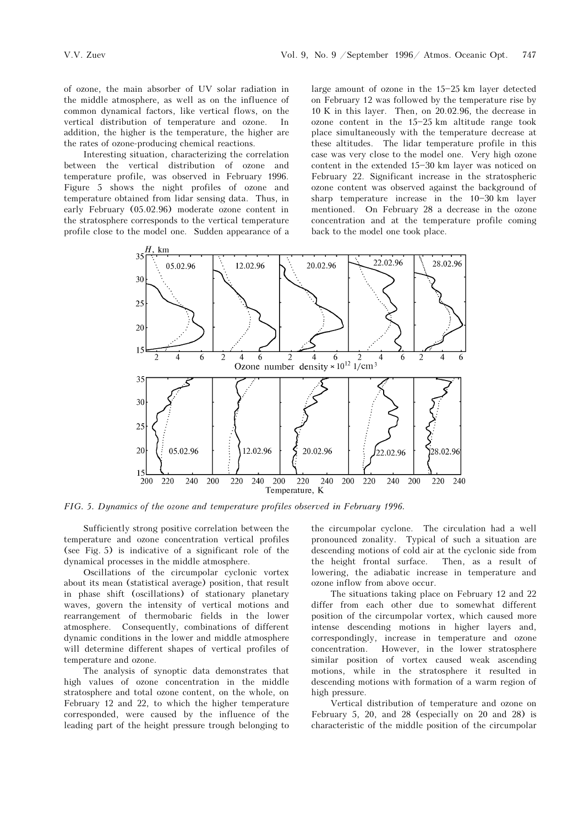of ozone, the main absorber of UV solar radiation in the middle atmosphere, as well as on the influence of common dynamical factors, like vertical flows, on the vertical distribution of temperature and ozone. In addition, the higher is the temperature, the higher are the rates of ozone-producing chemical reactions.

Interesting situation, characterizing the correlation between the vertical distribution of ozone and temperature profile, was observed in February 1996. Figure 5 shows the night profiles of ozone and temperature obtained from lidar sensing data. Thus, in early February (05.02.96) moderate ozone content in the stratosphere corresponds to the vertical temperature profile close to the model one. Sudden appearance of a large amount of ozone in the  $15-25$  km layer detected on February 12 was followed by the temperature rise by 10 K in this layer. Then, on 20.02.96, the decrease in ozone content in the  $15-25$  km altitude range took place simultaneously with the temperature decrease at these altitudes. The lidar temperature profile in this case was very close to the model one. Very high ozone content in the extended 15-30 km layer was noticed on February 22. Significant increase in the stratospheric ozone content was observed against the background of sharp temperature increase in the  $10-30$  km layer mentioned. On February 28 a decrease in the ozone concentration and at the temperature profile coming back to the model one took place.



FIG. 5. Dynamics of the ozone and temperature profiles observed in February 1996.

Sufficiently strong positive correlation between the temperature and ozone concentration vertical profiles (see Fig. 5) is indicative of a significant role of the dynamical processes in the middle atmosphere.

Oscillations of the circumpolar cyclonic vortex about its mean (statistical average) position, that result in phase shift (oscillations) of stationary planetary waves, govern the intensity of vertical motions and rearrangement of thermobaric fields in the lower atmosphere. Consequently, combinations of different dynamic conditions in the lower and middle atmosphere will determine different shapes of vertical profiles of temperature and ozone.

The analysis of synoptic data demonstrates that high values of ozone concentration in the middle stratosphere and total ozone content, on the whole, on February 12 and 22, to which the higher temperature corresponded, were caused by the influence of the leading part of the height pressure trough belonging to

the circumpolar cyclone. The circulation had a well pronounced zonality. Typical of such a situation are descending motions of cold air at the cyclonic side from the height frontal surface. Then, as a result of lowering, the adiabatic increase in temperature and ozone inflow from above occur.

The situations taking place on February 12 and 22 differ from each other due to somewhat different position of the circumpolar vortex, which caused more intense descending motions in higher layers and, correspondingly, increase in temperature and ozone concentration. However, in the lower stratosphere similar position of vortex caused weak ascending motions, while in the stratosphere it resulted in descending motions with formation of a warm region of high pressure.

Vertical distribution of temperature and ozone on February 5, 20, and 28 (especially on 20 and 28) is characteristic of the middle position of the circumpolar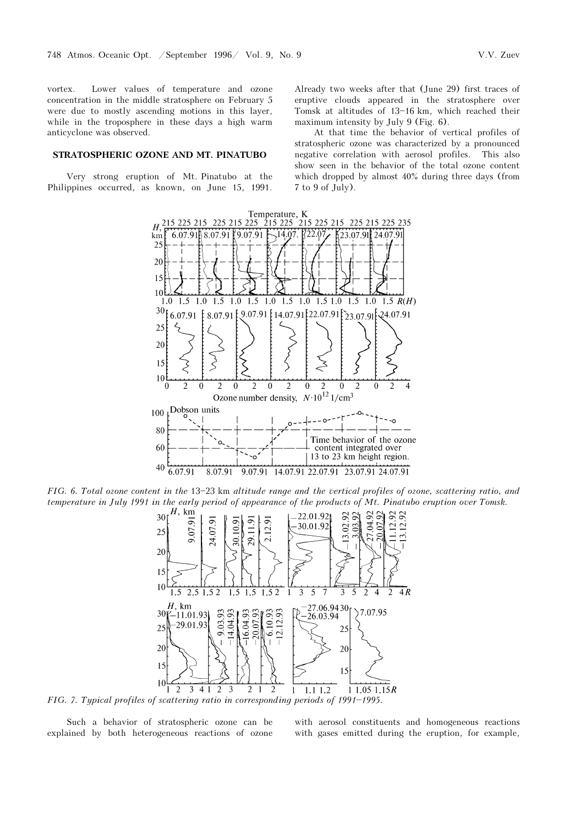vortex. Lower values of temperature and ozone concentration in the middle stratosphere on February 5 were due to mostly ascending motions in this layer, while in the troposphere in these days a high warm anticyclone was observed.

### STRATOSPHERIC OZONE AND MT. PINATUBO

Very strong eruption of Mt. Pinatubo at the Philippines occurred, as known, on June 15, 1991.

Already two weeks after that (June 29) first traces of eruptive clouds appeared in the stratosphere over Tomsk at altitudes of 13-16 km, which reached their maximum intensity by July 9 (Fig. 6).

At that time the behavior of vertical profiles of stratospheric ozone was characterized by a pronounced negative correlation with aerosol profiles. This also show seen in the behavior of the total ozone content which dropped by almost 40% during three days (from 7 to 9 of July).



FIG. 6. Total ozone content in the 13-23 km altitude range and the vertical profiles of ozone, scattering ratio, and temperature in July 1991 in the early period of appearance of the products of Mt. Pinatubo eruption over Tomsk.



FIG. 7. Typical profiles of scattering ratio in corresponding periods of 1991-1995.

Such a behavior of stratospheric ozone can be explained by both heterogeneous reactions of ozone with aerosol constituents and homogeneous reactions with gases emitted during the eruption, for example,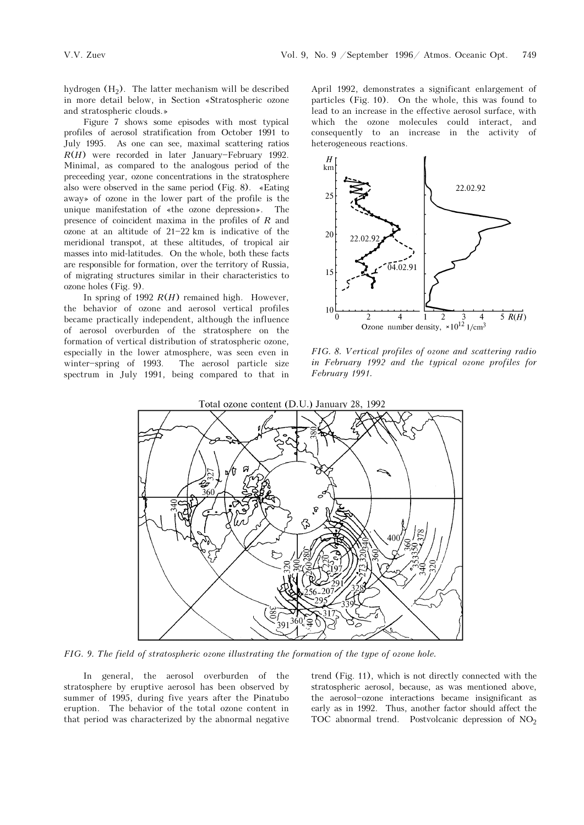hydrogen  $(H<sub>2</sub>)$ . The latter mechanism will be described in more detail below, in Section &Stratospheric ozone and stratospheric clouds.[

Figure 7 shows some episodes with most typical profiles of aerosol stratification from October 1991 to July 1995. As one can see, maximal scattering ratios  $R(H)$  were recorded in later January-February 1992. Minimal, as compared to the analogous period of the preceeding year, ozone concentrations in the stratosphere also were observed in the same period (Fig. 8).  $\ast$ Eating away» of ozone in the lower part of the profile is the unique manifestation of  $*$ the ozone depression». The presence of coincident maxima in the profiles of R and ozone at an altitude of  $21-22$  km is indicative of the meridional transpot, at these altitudes, of tropical air masses into mid-latitudes. On the whole, both these facts are responsible for formation, over the territory of Russia, of migrating structures similar in their characteristics to ozone holes (Fig. 9).

In spring of 1992  $R(H)$  remained high. However, the behavior of ozone and aerosol vertical profiles became practically independent, although the influence of aerosol overburden of the stratosphere on the formation of vertical distribution of stratospheric ozone, especially in the lower atmosphere, was seen even in winter-spring of 1993. The aerosol particle size spectrum in July 1991, being compared to that in

April 1992, demonstrates a significant enlargement of particles (Fig. 10). On the whole, this was found to lead to an increase in the effective aerosol surface, with which the ozone molecules could interact, and consequently to an increase in the activity of heterogeneous reactions.



FIG. 8. Vertical profiles of ozone and scattering radio in February 1992 and the typical ozone profiles for February 1991.



FIG. 9. The field of stratospheric ozone illustrating the formation of the type of ozone hole.

In general, the aerosol overburden of the stratosphere by eruptive aerosol has been observed by summer of 1995, during five years after the Pinatubo eruption. The behavior of the total ozone content in that period was characterized by the abnormal negative trend (Fig. 11), which is not directly connected with the stratospheric aerosol, because, as was mentioned above, the aerosol-ozone interactions became insignificant as early as in 1992. Thus, another factor should affect the TOC abnormal trend. Postvolcanic depression of  $NO<sub>2</sub>$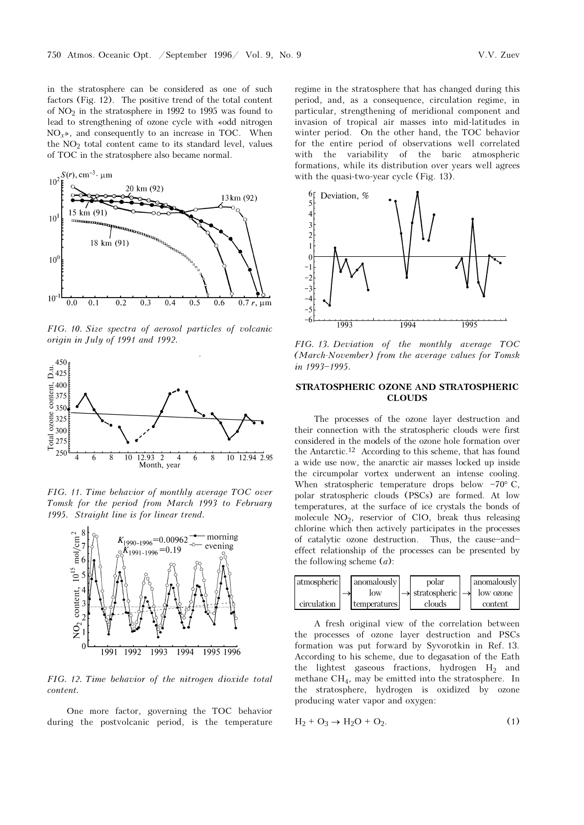in the stratosphere can be considered as one of such factors (Fig. 12). The positive trend of the total content of  $NO<sub>2</sub>$  in the stratosphere in 1992 to 1995 was found to lead to strengthening of ozone cycle with «odd nitrogen  $NO<sub>x</sub>$ , and consequently to an increase in TOC. When the  $NO<sub>2</sub>$  total content came to its standard level, values of TOC in the stratosphere also became normal.



FIG. 10. Size spectra of aerosol particles of volcanic origin in July of 1991 and 1992.



FIG. 11. Time behavior of monthly average TOC over Tomsk for the period from March 1993 to February 1995. Straight line is for linear trend.



FIG. 12. Time behavior of the nitrogen dioxide total content.

One more factor, governing the TOC behavior during the postvolcanic period, is the temperature regime in the stratosphere that has changed during this period, and, as a consequence, circulation regime, in particular, strengthening of meridional component and invasion of tropical air masses into mid-latitudes in winter period. On the other hand, the TOC behavior for the entire period of observations well correlated with the variability of the baric atmospheric formations, while its distribution over years well agrees with the quasi-two-year cycle (Fig. 13).



FIG. 13. Deviation of the monthly average TOC (March-November) from the average values for Tomsk in 1993-1995.

#### STRATOSPHERIC OZONE AND STRATOSPHERIC CLOUDS

The processes of the ozone layer destruction and their connection with the stratospheric clouds were first considered in the models of the ozone hole formation over the Antarctic.12 According to this scheme, that has found a wide use now, the anarctic air masses locked up inside the circumpolar vortex underwent an intense cooling. When stratospheric temperature drops below  $-70^{\circ}$  C, polar stratospheric clouds (PSCs) are formed. At low temperatures, at the surface of ice crystals the bonds of molecule  $NO<sub>2</sub>$ , reservior of ClO, break thus releasing chlorine which then actively participates in the processes of catalytic ozone destruction. Thus, the cause-andeffect relationship of the processes can be presented by the following scheme  $(a)$ :



A fresh original view of the correlation between the processes of ozone layer destruction and PSCs formation was put forward by Syvorotkin in Ref. 13. According to his scheme, due to degasation of the Eath the lightest gaseous fractions, hydrogen  $H_2$  and methane CH4, may be emitted into the stratosphere. In the stratosphere, hydrogen is oxidized by ozone producing water vapor and oxygen:

$$
H_2 + O_3 \rightarrow H_2O + O_2. \tag{1}
$$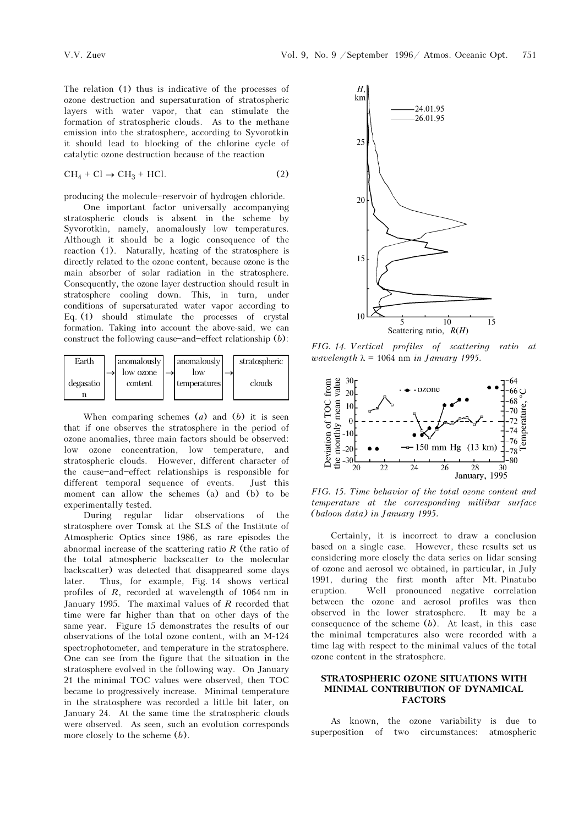The relation (1) thus is indicative of the processes of ozone destruction and supersaturation of stratospheric layers with water vapor, that can stimulate the formation of stratospheric clouds. As to the methane emission into the stratosphere, according to Syvorotkin it should lead to blocking of the chlorine cycle of catalytic ozone destruction because of the reaction

$$
CH_4 + Cl \to CH_3 + HCl.
$$
 (2)

producing the molecule-reservoir of hydrogen chloride.

One important factor universally accompanying stratospheric clouds is absent in the scheme by Syvorotkin, namely, anomalously low temperatures. Although it should be a logic consequence of the reaction (1). Naturally, heating of the stratosphere is directly related to the ozone content, because ozone is the main absorber of solar radiation in the stratosphere. Consequently, the ozone layer destruction should result in stratosphere cooling down. This, in turn, under conditions of supersaturated water vapor according to Eq. (1) should stimulate the processes of crystal formation. Taking into account the above-said, we can construct the following cause-and-effect relationship  $(b)$ :



When comparing schemes  $(a)$  and  $(b)$  it is seen that if one observes the stratosphere in the period of ozone anomalies, three main factors should be observed: low ozone concentration, low temperature, and stratospheric clouds. However, different character of the cause-and-effect relationships is responsible for different temporal sequence of events. Just this moment can allow the schemes (a) and (b) to be experimentally tested.

During regular lidar observations of the stratosphere over Tomsk at the SLS of the Institute of Atmospheric Optics since 1986, as rare episodes the abnormal increase of the scattering ratio  $R$  (the ratio of the total atmospheric backscatter to the molecular backscatter) was detected that disappeared some days later. Thus, for example, Fig. 14 shows vertical profiles of R, recorded at wavelength of 1064 nm in January 1995. The maximal values of  $R$  recorded that time were far higher than that on other days of the same year. Figure 15 demonstrates the results of our observations of the total ozone content, with an M-124 spectrophotometer, and temperature in the stratosphere. One can see from the figure that the situation in the stratosphere evolved in the following way. On January 21 the minimal TOC values were observed, then TOC became to progressively increase. Minimal temperature in the stratosphere was recorded a little bit later, on January 24. At the same time the stratospheric clouds were observed. As seen, such an evolution corresponds more closely to the scheme (b).



FIG. 14. Vertical profiles of scattering ratio at wavelength  $\lambda = 1064$  nm in January 1995.



FIG. 15. Time behavior of the total ozone content and temperature at the corresponding millibar surface (baloon data) in January 1995.

Certainly, it is incorrect to draw a conclusion based on a single case. However, these results set us considering more closely the data series on lidar sensing of ozone and aerosol we obtained, in particular, in July 1991, during the first month after Mt. Pinatubo eruption. Well pronounced negative correlation between the ozone and aerosol profiles was then observed in the lower stratosphere. It may be a consequence of the scheme  $(b)$ . At least, in this case the minimal temperatures also were recorded with a time lag with respect to the minimal values of the total ozone content in the stratosphere.

#### STRATOSPHERIC OZONE SITUATIONS WITH MINIMAL CONTRIBUTION OF DYNAMICAL FACTORS

As known, the ozone variability is due to superposition of two circumstances: atmospheric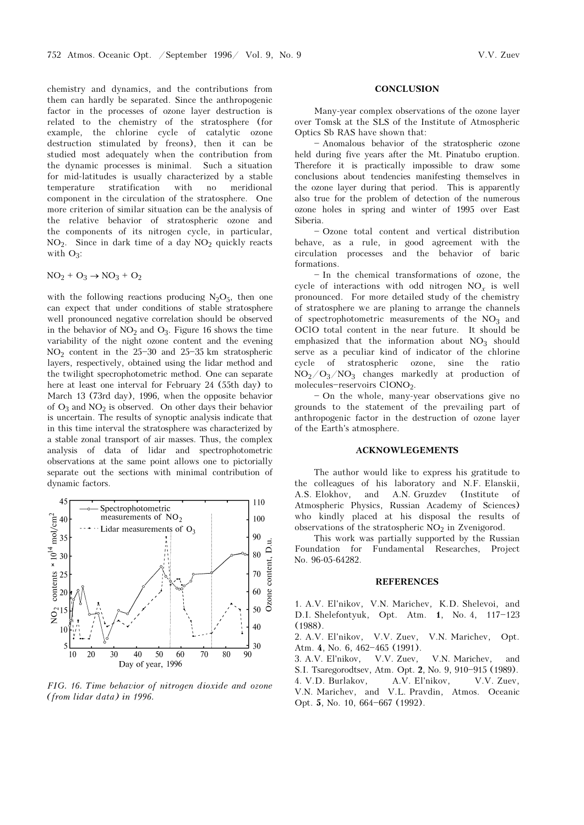chemistry and dynamics, and the contributions from them can hardly be separated. Since the anthropogenic factor in the processes of ozone layer destruction is related to the chemistry of the stratosphere (for example, the chlorine cycle of catalytic ozone destruction stimulated by freons), then it can be studied most adequately when the contribution from the dynamic processes is minimal. Such a situation for mid-latitudes is usually characterized by a stable temperature stratification with no meridional component in the circulation of the stratosphere. One more criterion of similar situation can be the analysis of the relative behavior of stratospheric ozone and the components of its nitrogen cycle, in particular,  $NO<sub>2</sub>$ . Since in dark time of a day  $NO<sub>2</sub>$  quickly reacts with  $O_3$ :

$$
NO_2 + O_3 \rightarrow NO_3 + O_2
$$

with the following reactions producing  $N_2O_5$ , then one can expect that under conditions of stable stratosphere well pronounced negative correlation should be observed in the behavior of  $NO<sub>2</sub>$  and  $O<sub>3</sub>$ . Figure 16 shows the time variability of the night ozone content and the evening  $NO<sub>2</sub>$  content in the 25-30 and 25-35 km stratospheric layers, respectively, obtained using the lidar method and the twilight specrophotometric method. One can separate here at least one interval for February 24 (55th day) to March 13 (73rd day), 1996, when the opposite behavior of  $O_3$  and  $NO_2$  is observed. On other days their behavior is uncertain. The results of synoptic analysis indicate that in this time interval the stratosphere was characterized by a stable zonal transport of air masses. Thus, the complex analysis of data of lidar and spectrophotometric observations at the same point allows one to pictorially separate out the sections with minimal contribution of dynamic factors.



FIG. 16. Time behavior of nitrogen dioxide and ozone (from lidar data) in 1996.

#### **CONCLUSION**

Many-year complex observations of the ozone layer over Tomsk at the SLS of the Institute of Atmospheric Optics Sb RAS have shown that:

- Anomalous behavior of the stratospheric ozone held during five years after the Mt. Pinatubo eruption. Therefore it is practically impossible to draw some conclusions about tendencies manifesting themselves in the ozone layer during that period. This is apparently also true for the problem of detection of the numerous ozone holes in spring and winter of 1995 over East Siberia.

- Ozone total content and vertical distribution behave, as a rule, in good agreement with the circulation processes and the behavior of baric formations.

 $-$ In the chemical transformations of ozone, the cycle of interactions with odd nitrogen  $NO<sub>r</sub>$  is well pronounced. For more detailed study of the chemistry of stratosphere we are planing to arrange the channels of spectrophotometric measurements of the  $NO<sub>3</sub>$  and OClO total content in the near future. It should be emphasized that the information about  $NO<sub>3</sub>$  should serve as a peculiar kind of indicator of the chlorine cycle of stratospheric ozone, sine the ratio  $NO<sub>2</sub>/O<sub>3</sub>/NO<sub>3</sub>$  changes markedly at production of molecules-reservoirs ClONO<sub>2</sub>.

- On the whole, many-year observations give no grounds to the statement of the prevailing part of anthropogenic factor in the destruction of ozone layer of the Earth's atmosphere.

#### ACKNOWLEGEMENTS

The author would like to express his gratitude to the colleagues of his laboratory and N.F. Elanskii, A.S. Elokhov, and A.N. Gruzdev (Institute of Atmospheric Physics, Russian Academy of Sciences) who kindly placed at his disposal the results of observations of the stratospheric  $NO<sub>2</sub>$  in Zvenigorod.

This work was partially supported by the Russian Foundation for Fundamental Researches, Project No. 96-05-64282.

#### **REFERENCES**

1. A.V. El'nikov, V.N. Marichev, K.D. Shelevoi, and D.I. Shelefontyuk, Opt. Atm. 1, No. 4, 117-123 (1988).

2. A.V. El'nikov, V.V. Zuev, V.N. Marichev, Opt. Atm. 4, No. 6, 462-465 (1991).

3. A.V. El'nikov, V.V. Zuev, V.N. Marichev, and S.I. Tsaregorodtsev, Atm. Opt. 2, No. 9, 910-915 (1989). 4. V.D. Burlakov, A.V. El'nikov, V.V. Zuev, V.N. Marichev, and V.L. Pravdin, Atmos. Oceanic

Opt. 5, No. 10, 664-667 (1992).